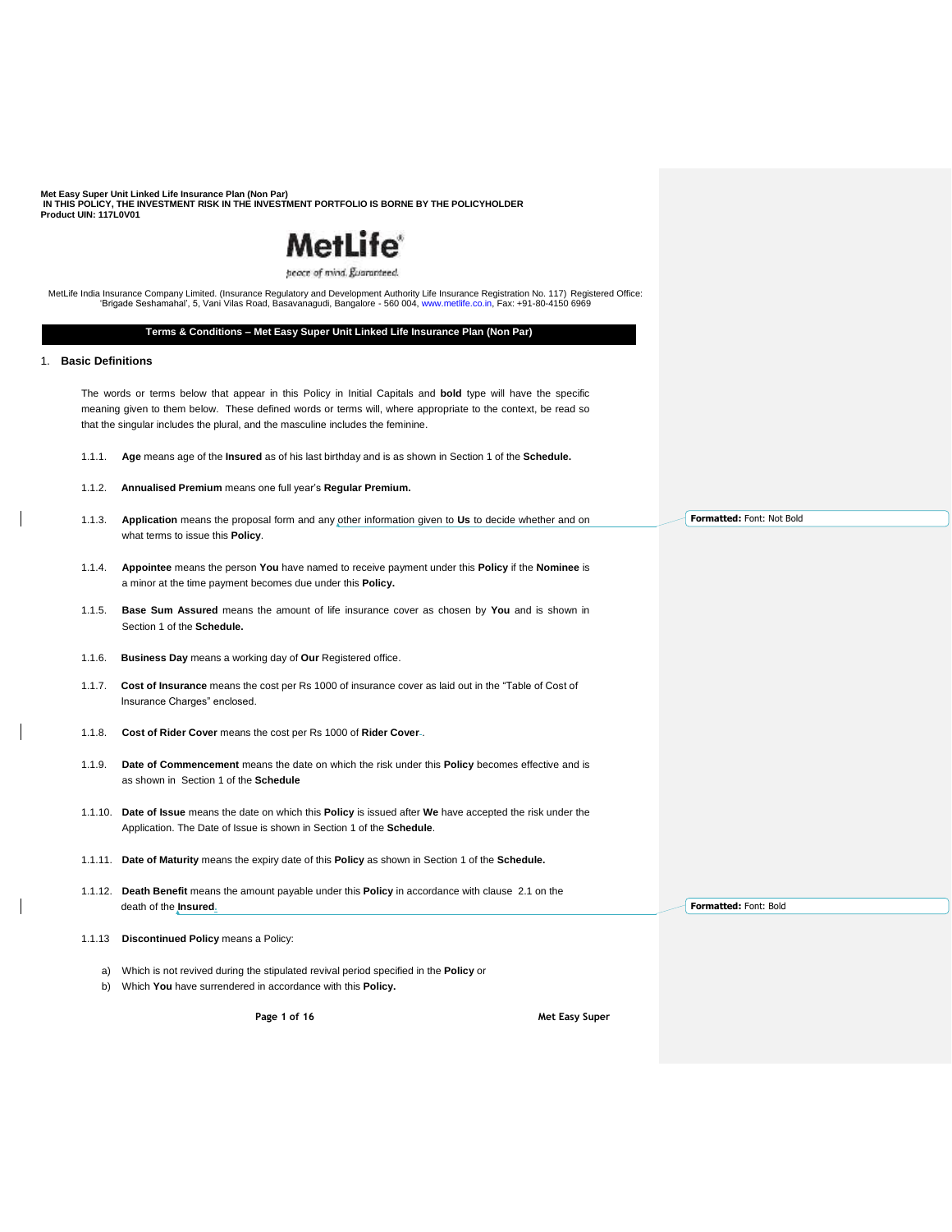# **MetLife**®

peace of mind. Euaranteed.

MetLife India Insurance Company Limited. (Insurance Regulatory and Development Authority Life Insurance Registration No. 117) Registered Office: 'Brigade Seshamahal', 5, Vani Vilas Road, Basavanagudi, Bangalore - 560 004, www.metlife.co.in, Fax: +91-80-4150 6969

# **Terms & Conditions – Met Easy Super Unit Linked Life Insurance Plan (Non Par)**

# 1. **Basic Definitions**

The words or terms below that appear in this Policy in Initial Capitals and **bold** type will have the specific meaning given to them below. These defined words or terms will, where appropriate to the context, be read so that the singular includes the plural, and the masculine includes the feminine.

- 1.1.1. **Age** means age of the **Insured** as of his last birthday and is as shown in Section 1 of the **Schedule.**
- 1.1.2. **Annualised Premium** means one full year's **Regular Premium.**
- 1.1.3. **Application** means the proposal form and any other information given to **Us** to decide whether and on what terms to issue this **Policy**.
- 1.1.4. **Appointee** means the person **You** have named to receive payment under this **Policy** if the **Nominee** is a minor at the time payment becomes due under this **Policy.**
- 1.1.5. **Base Sum Assured** means the amount of life insurance cover as chosen by **You** and is shown in Section 1 of the **Schedule.**
- 1.1.6. **Business Day** means a working day of **Our** Registered office.
- 1.1.7. **Cost of Insurance** means the cost per Rs 1000 of insurance cover as laid out in the "Table of Cost of Insurance Charges" enclosed.
- 1.1.8. **Cost of Rider Cover** means the cost per Rs 1000 of **Rider Cover** .
- 1.1.9. **Date of Commencement** means the date on which the risk under this **Policy** becomes effective and is as shown in Section 1 of the **Schedule**
- 1.1.10. **Date of Issue** means the date on which this **Policy** is issued after **We** have accepted the risk under the Application. The Date of Issue is shown in Section 1 of the **Schedule**.
- 1.1.11. **Date of Maturity** means the expiry date of this **Policy** as shown in Section 1 of the **Schedule.**
- 1.1.12. **Death Benefit** means the amount payable under this **Policy** in accordance with clause 2.1 on the death of the **Insured.**
- 1.1.13 **Discontinued Policy** means a Policy:
	- a) Which is not revived during the stipulated revival period specified in the **Policy** or
	- b) Which **You** have surrendered in accordance with this **Policy.**

**Page 1 of 16 Met Easy Super** 

**Formatted:** Font: Not Bold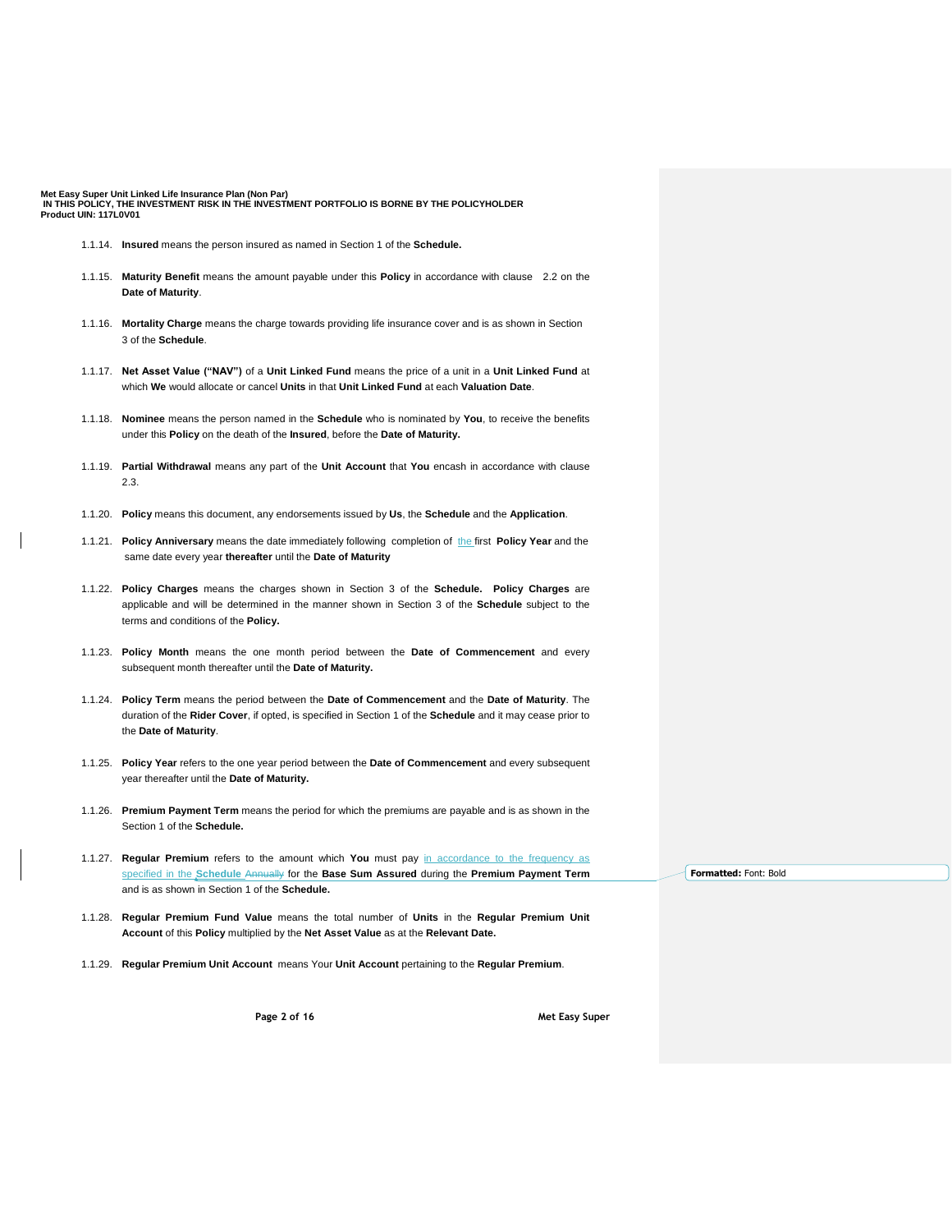- 1.1.14. **Insured** means the person insured as named in Section 1 of the **Schedule.**
- 1.1.15. **Maturity Benefit** means the amount payable under this **Policy** in accordance with clause 2.2 on the **Date of Maturity**.
- 1.1.16. **Mortality Charge** means the charge towards providing life insurance cover and is as shown in Section 3 of the **Schedule**.
- 1.1.17. **Net Asset Value ("NAV")** of a **Unit Linked Fund** means the price of a unit in a **Unit Linked Fund** at which **We** would allocate or cancel **Units** in that **Unit Linked Fund** at each **Valuation Date**.
- 1.1.18. **Nominee** means the person named in the **Schedule** who is nominated by **You**, to receive the benefits under this **Policy** on the death of the **Insured**, before the **Date of Maturity.**
- 1.1.19. **Partial Withdrawal** means any part of the **Unit Account** that **You** encash in accordance with clause 2.3.
- 1.1.20. **Policy** means this document, any endorsements issued by **Us**, the **Schedule** and the **Application**.
- 1.1.21. **Policy Anniversary** means the date immediately following completion of the first **Policy Year** and the same date every year **thereafter** until the **Date of Maturity**
- 1.1.22. **Policy Charges** means the charges shown in Section 3 of the **Schedule. Policy Charges** are applicable and will be determined in the manner shown in Section 3 of the **Schedule** subject to the terms and conditions of the **Policy.**
- 1.1.23. **Policy Month** means the one month period between the **Date of Commencement** and every subsequent month thereafter until the **Date of Maturity.**
- 1.1.24. **Policy Term** means the period between the **Date of Commencement** and the **Date of Maturity**. The duration of the **Rider Cover**, if opted, is specified in Section 1 of the **Schedule** and it may cease prior to the **Date of Maturity**.
- 1.1.25. **Policy Year** refers to the one year period between the **Date of Commencement** and every subsequent year thereafter until the **Date of Maturity.**
- 1.1.26. **Premium Payment Term** means the period for which the premiums are payable and is as shown in the Section 1 of the **Schedule.**
- 1.1.27. **Regular Premium** refers to the amount which **You** must pay in accordance to the frequency as specified in the **Schedule** Annually for the **Base Sum Assured** during the **Premium Payment Term** and is as shown in Section 1 of the **Schedule.**
- 1.1.28. **Regular Premium Fund Value** means the total number of **Units** in the **Regular Premium Unit Account** of this **Policy** multiplied by the **Net Asset Value** as at the **Relevant Date.**
- 1.1.29. **Regular Premium Unit Account** means Your **Unit Account** pertaining to the **Regular Premium**.

**Page 2 of 16 Met Easy Super**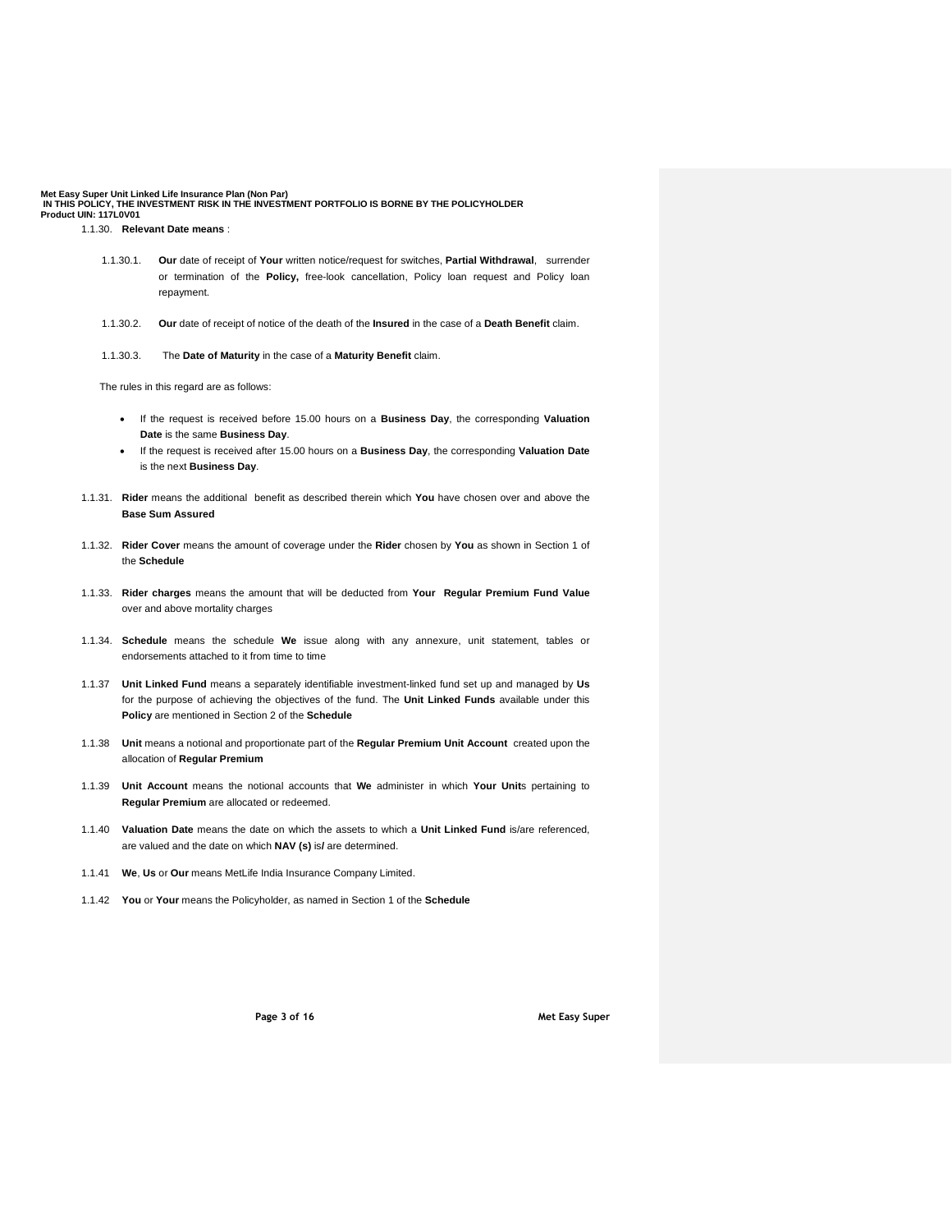- 1.1.30.1. **Our** date of receipt of **Your** written notice/request for switches, **Partial Withdrawal**, surrender or termination of the **Policy,** free-look cancellation, Policy loan request and Policy loan repayment.
- 1.1.30.2. **Our** date of receipt of notice of the death of the **Insured** in the case of a **Death Benefit** claim.
- 1.1.30.3. The **Date of Maturity** in the case of a **Maturity Benefit** claim.

The rules in this regard are as follows:

- If the request is received before 15.00 hours on a **Business Day**, the corresponding **Valuation Date** is the same **Business Day**.
- If the request is received after 15.00 hours on a **Business Day**, the corresponding **Valuation Date** is the next **Business Day**.
- 1.1.31. **Rider** means the additional benefit as described therein which **You** have chosen over and above the **Base Sum Assured**
- 1.1.32. **Rider Cover** means the amount of coverage under the **Rider** chosen by **You** as shown in Section 1 of the **Schedule**
- 1.1.33. **Rider charges** means the amount that will be deducted from **Your Regular Premium Fund Value**  over and above mortality charges
- 1.1.34. **Schedule** means the schedule **We** issue along with any annexure, unit statement, tables or endorsements attached to it from time to time
- 1.1.37 **Unit Linked Fund** means a separately identifiable investment-linked fund set up and managed by **Us** for the purpose of achieving the objectives of the fund. The **Unit Linked Funds** available under this **Policy** are mentioned in Section 2 of the **Schedule**
- 1.1.38 **Unit** means a notional and proportionate part of the **Regular Premium Unit Account** created upon the allocation of **Regular Premium**
- 1.1.39 **Unit Account** means the notional accounts that **We** administer in which **Your Unit**s pertaining to **Regular Premium** are allocated or redeemed.
- 1.1.40 **Valuation Date** means the date on which the assets to which a **Unit Linked Fund** is/are referenced, are valued and the date on which **NAV (s)** is**/** are determined.
- 1.1.41 **We**, **Us** or **Our** means MetLife India Insurance Company Limited.
- 1.1.42 **You** or **Your** means the Policyholder, as named in Section 1 of the **Schedule**

**Page 3 of 16 Met Easy Super**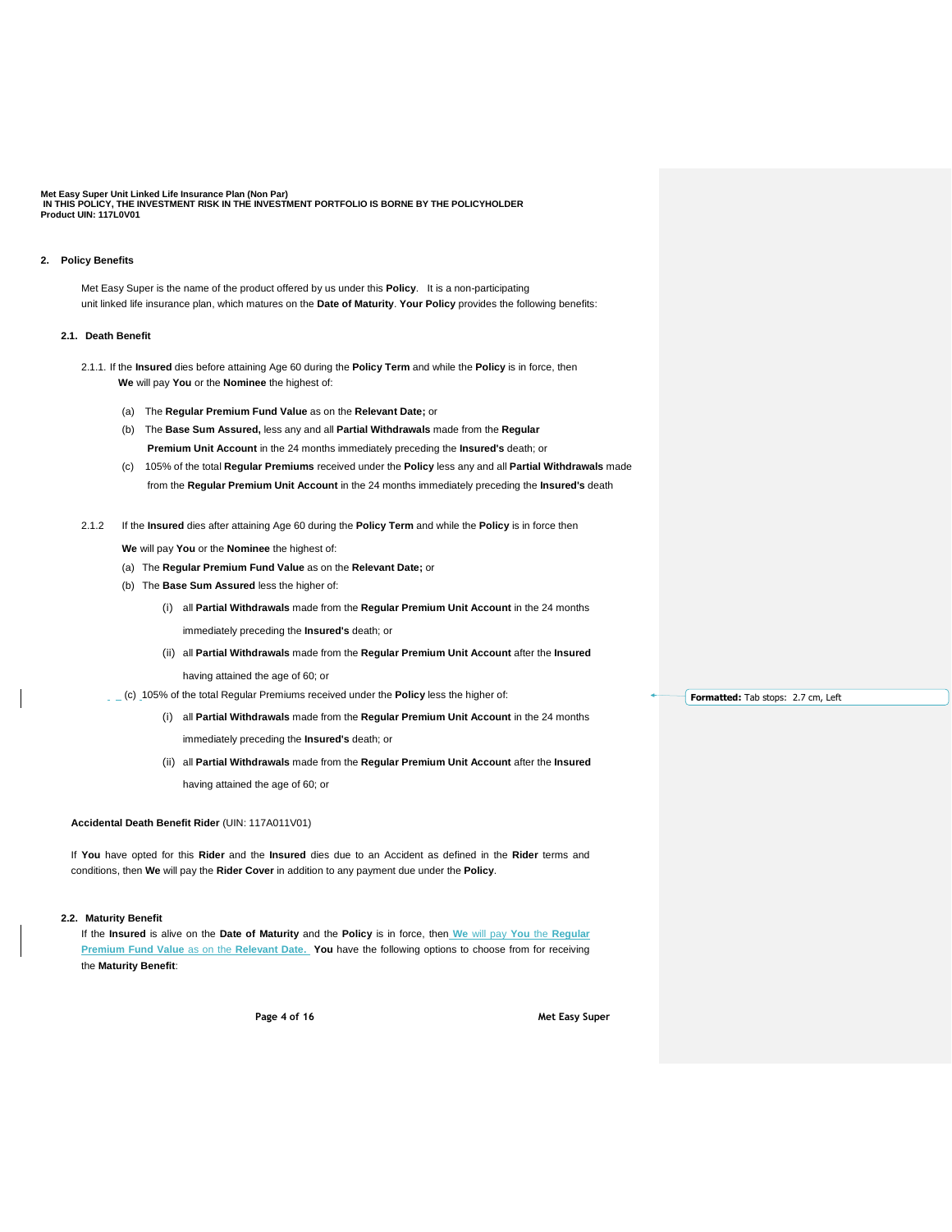### **2. Policy Benefits**

Met Easy Super is the name of the product offered by us under this **Policy**. It is a non-participating unit linked life insurance plan, which matures on the **Date of Maturity**. **Your Policy** provides the following benefits:

#### **2.1. Death Benefit**

- 2.1.1. If the **Insured** dies before attaining Age 60 during the **Policy Term** and while the **Policy** is in force, then **We** will pay **You** or the **Nominee** the highest of:
	- (a) The **Regular Premium Fund Value** as on the **Relevant Date;** or
	- (b) The **Base Sum Assured,** less any and all **Partial Withdrawals** made from the **Regular Premium Unit Account** in the 24 months immediately preceding the **Insured's** death; or
	- (c) 105% of the total **Regular Premiums** received under the **Policy** less any and all **Partial Withdrawals** made from the **Regular Premium Unit Account** in the 24 months immediately preceding the **Insured's** death
- 2.1.2 If the **Insured** dies after attaining Age 60 during the **Policy Term** and while the **Policy** is in force then

**We** will pay **You** or the **Nominee** the highest of:

- (a) The **Regular Premium Fund Value** as on the **Relevant Date;** or
- (b) The **Base Sum Assured** less the higher of:

(i) all **Partial Withdrawals** made from the **Regular Premium Unit Account** in the 24 months immediately preceding the **Insured's** death; or

(ii) all **Partial Withdrawals** made from the **Regular Premium Unit Account** after the **Insured** having attained the age of 60; or

(c) 105% of the total Regular Premiums received under the **Policy** less the higher of:

- (i) all **Partial Withdrawals** made from the **Regular Premium Unit Account** in the 24 months immediately preceding the **Insured's** death; or
- (ii) all **Partial Withdrawals** made from the **Regular Premium Unit Account** after the **Insured** having attained the age of 60; or

# **Accidental Death Benefit Rider** (UIN: 117A011V01)

 If **You** have opted for this **Rider** and the **Insured** dies due to an Accident as defined in the **Rider** terms and conditions, then **We** will pay the **Rider Cover** in addition to any payment due under the **Policy**.

#### **2.2. Maturity Benefit**

If the **Insured** is alive on the **Date of Maturity** and the **Policy** is in force, then **We** will pay **You** the **Regular Premium Fund Value as on the Relevant Date. You have the following options to choose from for receiving** the **Maturity Benefit**:

**Page 4 of 16 Met Easy Super** 

**Formatted:** Tab stops: 2.7 cm, Left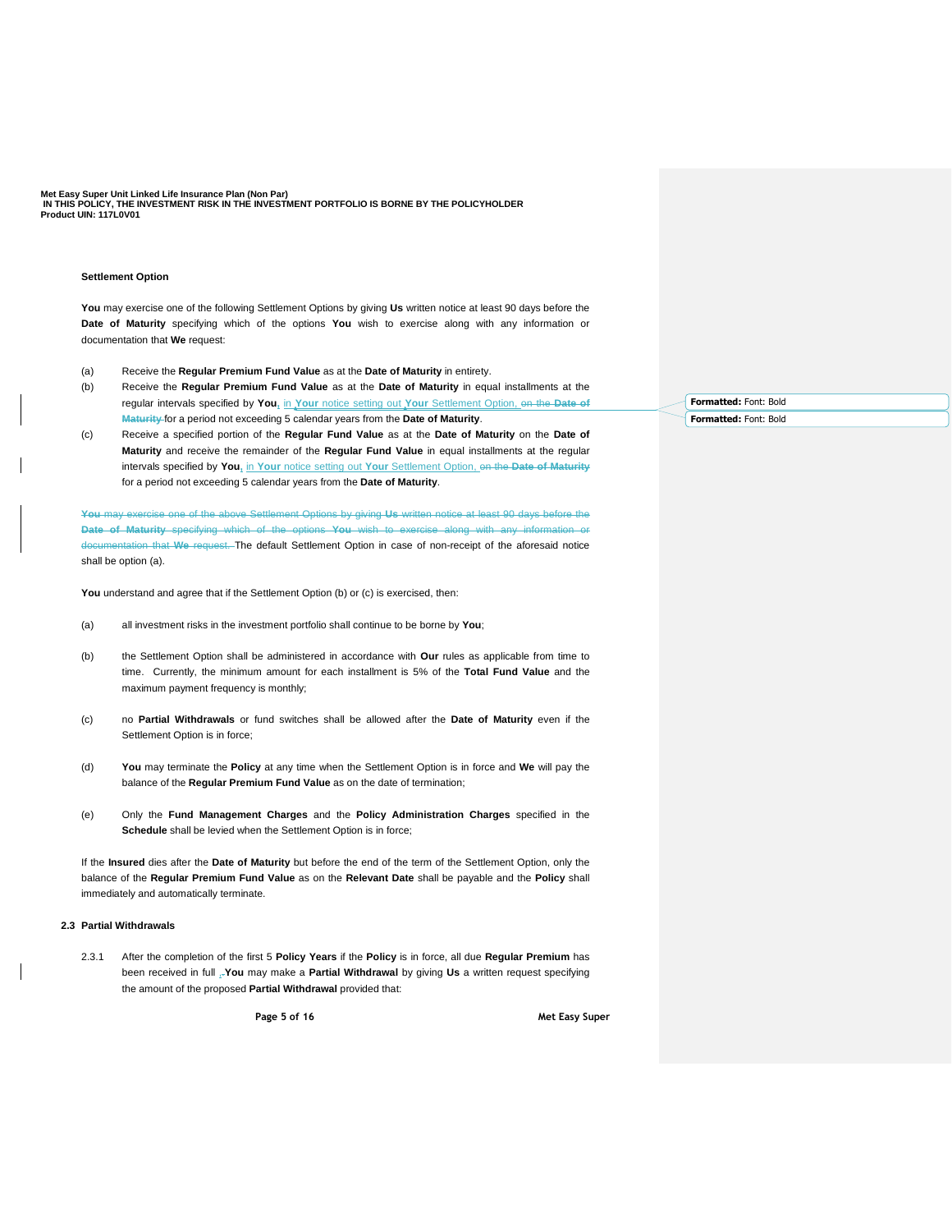#### **Settlement Option**

**You** may exercise one of the following Settlement Options by giving **Us** written notice at least 90 days before the **Date of Maturity** specifying which of the options **You** wish to exercise along with any information or documentation that **We** request:

- (a) Receive the **Regular Premium Fund Value** as at the **Date of Maturity** in entirety.
- (b) Receive the **Regular Premium Fund Value** as at the **Date of Maturity** in equal installments at the regular intervals specified by **You,** in **Your** notice setting out **Your** Settlement Option, on the **Date of Maturity** for a period not exceeding 5 calendar years from the **Date of Maturity**.
- (c) Receive a specified portion of the **Regular Fund Value** as at the **Date of Maturity** on the **Date of Maturity** and receive the remainder of the **Regular Fund Value** in equal installments at the regular intervals specified by **You,** in **Your** notice setting out **Your** Settlement Option, on the **Date of Maturity** for a period not exceeding 5 calendar years from the **Date of Maturity**.

**You** may exercise one of the above Settlement Options by giving **Us** written notice at least 90 days before the **Date of Maturity** specifying which of the options **You** wish to exercise along with any information or documentation that **We** request. The default Settlement Option in case of non-receipt of the aforesaid notice shall be option (a).

**You** understand and agree that if the Settlement Option (b) or (c) is exercised, then:

- (a) all investment risks in the investment portfolio shall continue to be borne by **You**;
- (b) the Settlement Option shall be administered in accordance with **Our** rules as applicable from time to time. Currently, the minimum amount for each installment is 5% of the **Total Fund Value** and the maximum payment frequency is monthly;
- (c) no **Partial Withdrawals** or fund switches shall be allowed after the **Date of Maturity** even if the Settlement Option is in force;
- (d) **You** may terminate the **Policy** at any time when the Settlement Option is in force and **We** will pay the balance of the **Regular Premium Fund Value** as on the date of termination;
- (e) Only the **Fund Management Charges** and the **Policy Administration Charges** specified in the **Schedule** shall be levied when the Settlement Option is in force;

If the **Insured** dies after the **Date of Maturity** but before the end of the term of the Settlement Option, only the balance of the **Regular Premium Fund Value** as on the **Relevant Date** shall be payable and the **Policy** shall immediately and automatically terminate.

## **2.3 Partial Withdrawals**

2.3.1 After the completion of the first 5 **Policy Years** if the **Policy** is in force, all due **Regular Premium** has been received in full ,.**You** may make a **Partial Withdrawal** by giving **Us** a written request specifying the amount of the proposed **Partial Withdrawal** provided that:

**Page 5 of 16 Met Easy Super** 

**Formatted:** Font: Bold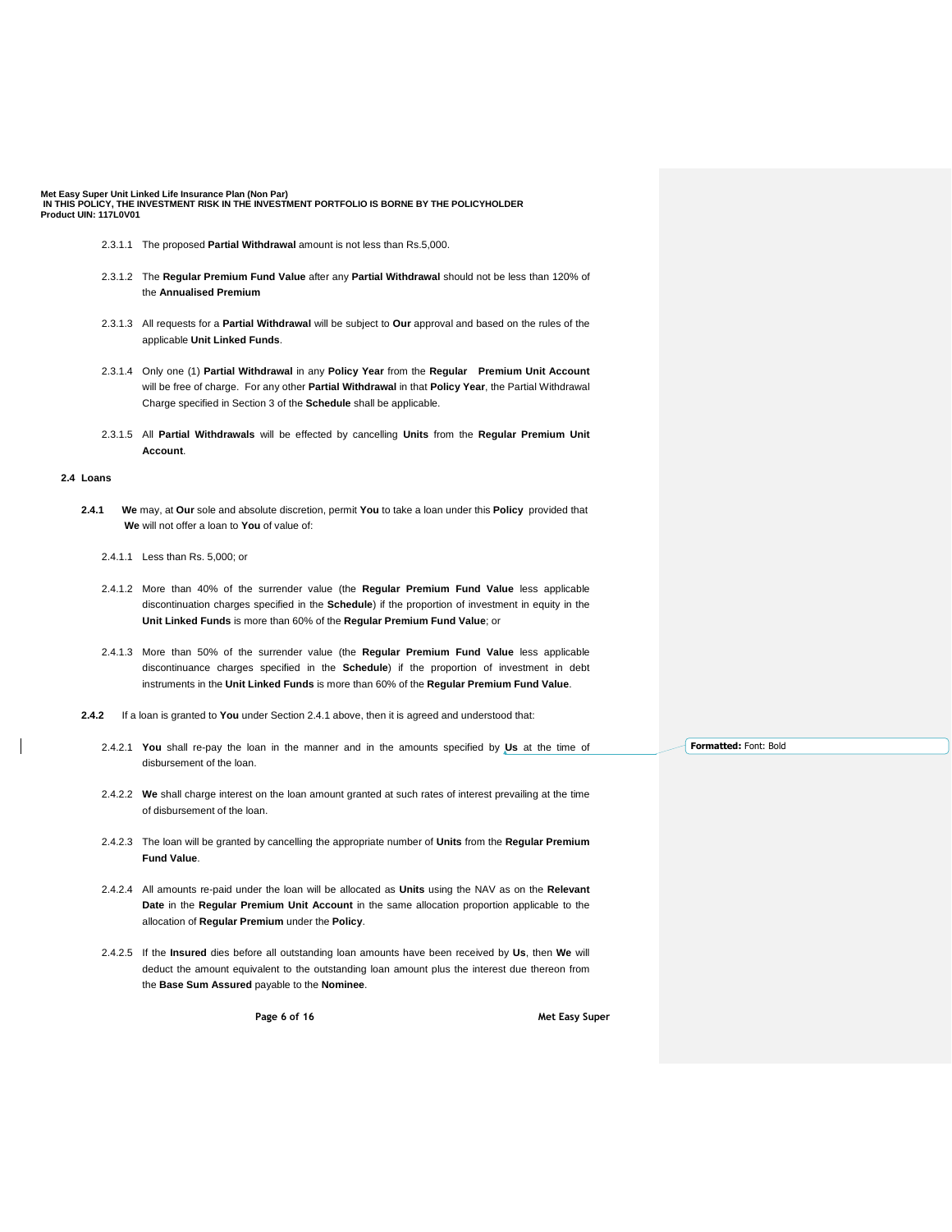- 2.3.1.1 The proposed **Partial Withdrawal** amount is not less than Rs.5,000.
- 2.3.1.2 The **Regular Premium Fund Value** after any **Partial Withdrawal** should not be less than 120% of the **Annualised Premium**
- 2.3.1.3 All requests for a **Partial Withdrawal** will be subject to **Our** approval and based on the rules of the applicable **Unit Linked Funds**.
- 2.3.1.4 Only one (1) **Partial Withdrawal** in any **Policy Year** from the **Regular Premium Unit Account**  will be free of charge. For any other **Partial Withdrawal** in that **Policy Year**, the Partial Withdrawal Charge specified in Section 3 of the **Schedule** shall be applicable.
- 2.3.1.5 All **Partial Withdrawals** will be effected by cancelling **Units** from the **Regular Premium Unit Account**.

# **2.4 Loans**

- **2.4.1 We** may, at **Our** sole and absolute discretion, permit **You** to take a loan under this **Policy** provided that  **We** will not offer a loan to **You** of value of:
	- 2.4.1.1 Less than Rs. 5,000; or
	- 2.4.1.2 More than 40% of the surrender value (the **Regular Premium Fund Value** less applicable discontinuation charges specified in the **Schedule**) if the proportion of investment in equity in the **Unit Linked Funds** is more than 60% of the **Regular Premium Fund Value**; or
	- 2.4.1.3 More than 50% of the surrender value (the **Regular Premium Fund Value** less applicable discontinuance charges specified in the **Schedule**) if the proportion of investment in debt instruments in the **Unit Linked Funds** is more than 60% of the **Regular Premium Fund Value**.
- **2.4.2** If a loan is granted to **You** under Section 2.4.1 above, then it is agreed and understood that:
	- 2.4.2.1 **You** shall re-pay the loan in the manner and in the amounts specified by **Us** at the time of disbursement of the loan.
	- 2.4.2.2 **We** shall charge interest on the loan amount granted at such rates of interest prevailing at the time of disbursement of the loan.
	- 2.4.2.3 The loan will be granted by cancelling the appropriate number of **Units** from the **Regular Premium Fund Value**.
	- 2.4.2.4 All amounts re-paid under the loan will be allocated as **Units** using the NAV as on the **Relevant Date** in the **Regular Premium Unit Account** in the same allocation proportion applicable to the allocation of **Regular Premium** under the **Policy**.
	- 2.4.2.5 If the **Insured** dies before all outstanding loan amounts have been received by **Us**, then **We** will deduct the amount equivalent to the outstanding loan amount plus the interest due thereon from the **Base Sum Assured** payable to the **Nominee**.

**Page 6 of 16 Met Easy Super**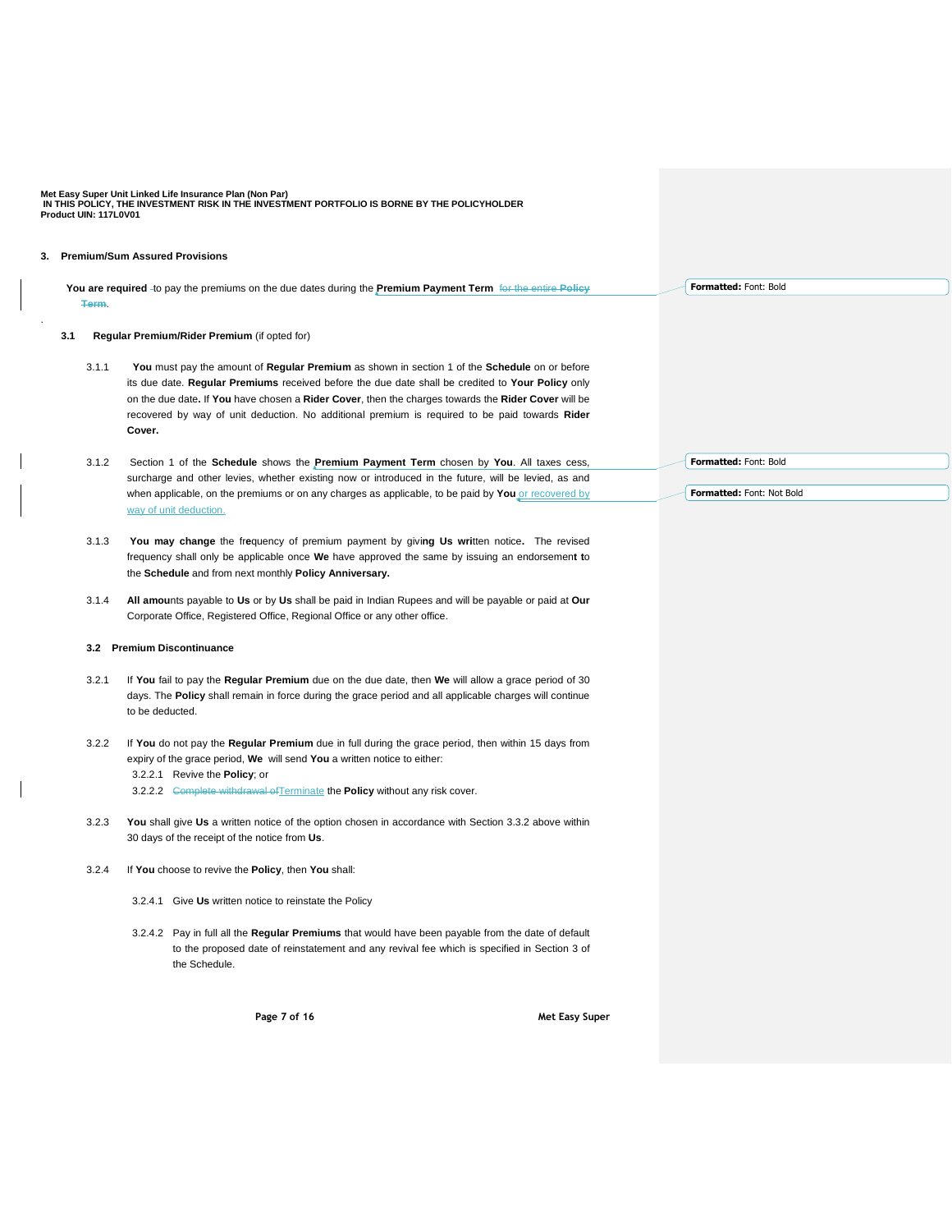# **3. Premium/Sum Assured Provisions**

.

 **You are required** to pay the premiums on the due dates during the **Premium Payment Term** for the entire **Policy Term**.

### **3.1 Regular Premium/Rider Premium** (if opted for)

- 3.1.1 **You** must pay the amount of **Regular Premium** as shown in section 1 of the **Schedule** on or before its due date. **Regular Premiums** received before the due date shall be credited to **Your Policy** only on the due date**.** If **You** have chosen a **Rider Cover**, then the charges towards the **Rider Cover** will be recovered by way of unit deduction. No additional premium is required to be paid towards **Rider Cover.**
- 3.1.2 Section 1 of the **Schedule** shows the **Premium Payment Term** chosen by **You**. All taxes cess, surcharge and other levies, whether existing now or introduced in the future, will be levied, as and when applicable, on the premiums or on any charges as applicable, to be paid by You or recovered by way of unit deduction.
- 3.1.3 **You may change** the fr**e**quency of premium payment by givi**ng Us wri**tten notice**.** The revised frequency shall only be applicable once **We** have approved the same by issuing an endorsemen**t t**o the **Schedule** and from next monthly **Policy Anniversary.**
- 3.1.4 **All amou**nts payable to **Us** or by **Us** shall be paid in Indian Rupees and will be payable or paid at **Our** Corporate Office, Registered Office, Regional Office or any other office.

# **3.2 Premium Discontinuance**

- 3.2.1 If **You** fail to pay the **Regular Premium** due on the due date, then **We** will allow a grace period of 30 days. The **Policy** shall remain in force during the grace period and all applicable charges will continue to be deducted.
- 3.2.2 If **You** do not pay the **Regular Premium** due in full during the grace period, then within 15 days from expiry of the grace period, **We** will send **You** a written notice to either: 3.2.2.1 Revive the **Policy**; or 3.2.2.2 <del>Complete withdrawal of Terminate</del> the **Policy** without any risk cover.
- 3.2.3 **You** shall give **Us** a written notice of the option chosen in accordance with Section 3.3.2 above within 30 days of the receipt of the notice from **Us**.
- 3.2.4 If **You** choose to revive the **Policy**, then **You** shall:
	- 3.2.4.1 Give **Us** written notice to reinstate the Policy
	- 3.2.4.2 Pay in full all the **Regular Premiums** that would have been payable from the date of default to the proposed date of reinstatement and any revival fee which is specified in Section 3 of the Schedule.

**Page 7 of 16 Met Easy Super** 

**Formatted:** Font: Bold

**Formatted:** Font: Bold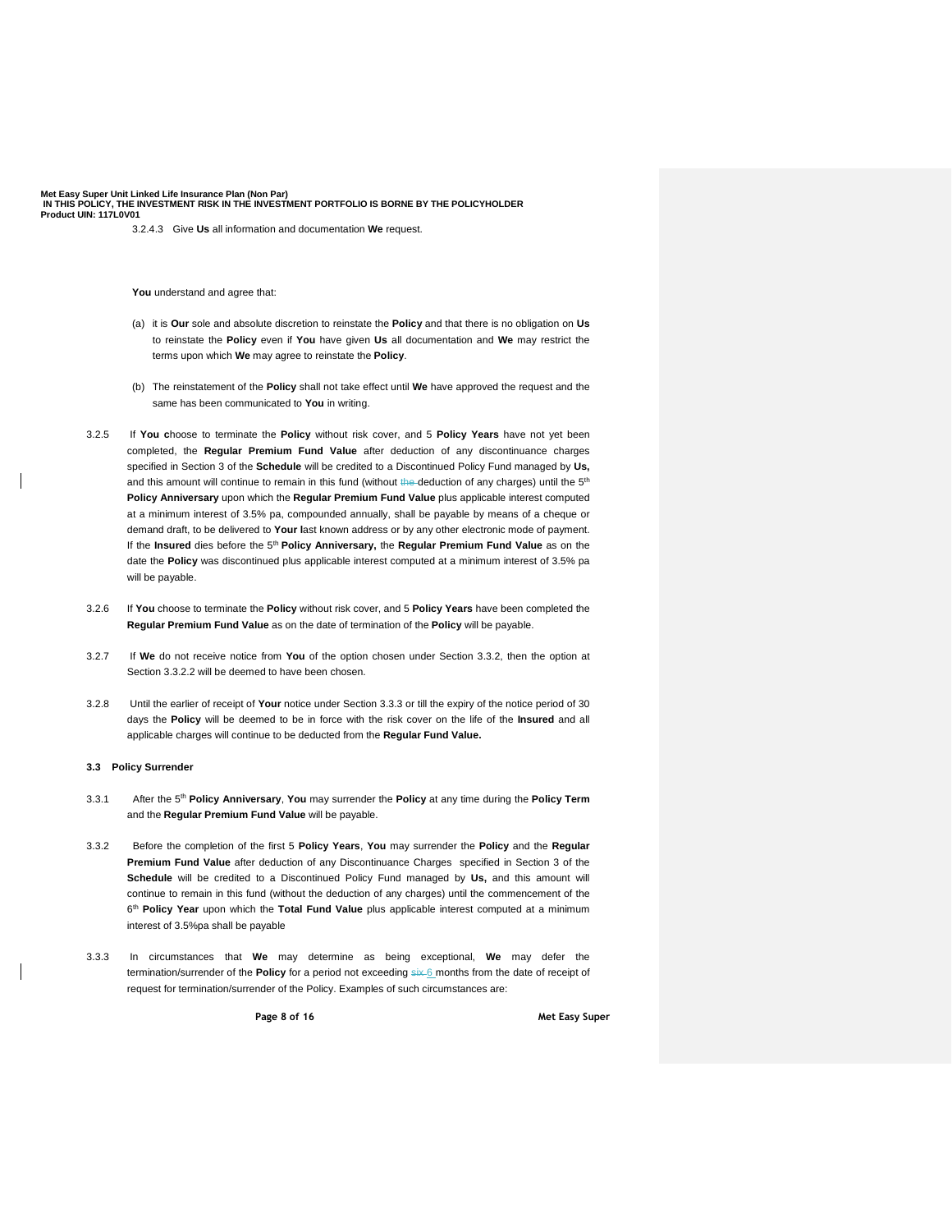3.2.4.3 Give **Us** all information and documentation **We** request.

**You** understand and agree that:

- (a) it is **Our** sole and absolute discretion to reinstate the **Policy** and that there is no obligation on **Us** to reinstate the **Policy** even if **You** have given **Us** all documentation and **We** may restrict the terms upon which **We** may agree to reinstate the **Policy**.
- (b) The reinstatement of the **Policy** shall not take effect until **We** have approved the request and the same has been communicated to **You** in writing.
- 3.2.5 If **You c**hoose to terminate the **Policy** without risk cover, and 5 **Policy Years** have not yet been completed, the **Regular Premium Fund Value** after deduction of any discontinuance charges specified in Section 3 of the **Schedule** will be credited to a Discontinued Policy Fund managed by **Us,** and this amount will continue to remain in this fund (without the deduction of any charges) until the 5<sup>th</sup> **Policy Anniversary** upon which the **Regular Premium Fund Value** plus applicable interest computed at a minimum interest of 3.5% pa, compounded annually, shall be payable by means of a cheque or demand draft, to be delivered to **Your l**ast known address or by any other electronic mode of payment. If the Insured dies before the 5<sup>th</sup> Policy Anniversary, the Regular Premium Fund Value as on the date the **Policy** was discontinued plus applicable interest computed at a minimum interest of 3.5% pa will be payable.
- 3.2.6 If **You** choose to terminate the **Policy** without risk cover, and 5 **Policy Years** have been completed the **Regular Premium Fund Value** as on the date of termination of the **Policy** will be payable.
- 3.2.7 If **We** do not receive notice from **You** of the option chosen under Section 3.3.2, then the option at Section 3.3.2.2 will be deemed to have been chosen.
- 3.2.8 Until the earlier of receipt of **Your** notice under Section 3.3.3 or till the expiry of the notice period of 30 days the **Policy** will be deemed to be in force with the risk cover on the life of the **Insured** and all applicable charges will continue to be deducted from the **Regular Fund Value.**

# **3.3 Policy Surrender**

- 3.3.1 After the 5 th **Policy Anniversary**, **You** may surrender the **Policy** at any time during the **Policy Term** and the **Regular Premium Fund Value** will be payable.
- 3.3.2 Before the completion of the first 5 **Policy Years**, **You** may surrender the **Policy** and the **Regular Premium Fund Value** after deduction of any Discontinuance Charges specified in Section 3 of the **Schedule** will be credited to a Discontinued Policy Fund managed by **Us,** and this amount will continue to remain in this fund (without the deduction of any charges) until the commencement of the 6 th **Policy Year** upon which the **Total Fund Value** plus applicable interest computed at a minimum interest of 3.5%pa shall be payable
- 3.3.3 In circumstances that **We** may determine as being exceptional, **We** may defer the termination/surrender of the Policy for a period not exceeding six 6 months from the date of receipt of request for termination/surrender of the Policy. Examples of such circumstances are:

**Page 8 of 16 Met Easy Super**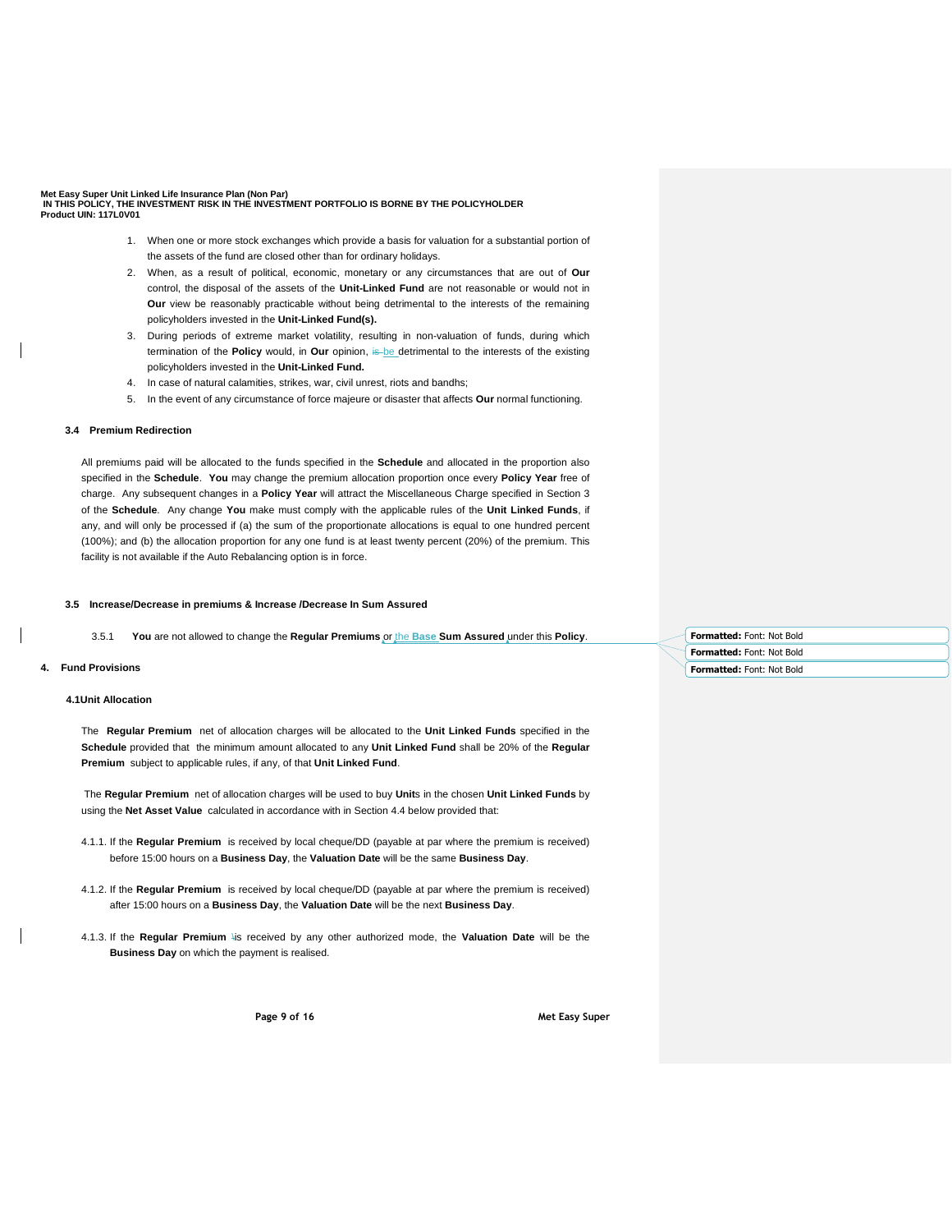- 1. When one or more stock exchanges which provide a basis for valuation for a substantial portion of the assets of the fund are closed other than for ordinary holidays.
- 2. When, as a result of political, economic, monetary or any circumstances that are out of **Our** control, the disposal of the assets of the **Unit-Linked Fund** are not reasonable or would not in **Our** view be reasonably practicable without being detrimental to the interests of the remaining policyholders invested in the **Unit-Linked Fund(s).**
- 3. During periods of extreme market volatility, resulting in non-valuation of funds, during which termination of the **Policy** would, in **Our** opinion, is be detrimental to the interests of the existing policyholders invested in the **Unit-Linked Fund.**
- 4. In case of natural calamities, strikes, war, civil unrest, riots and bandhs;
- 5. In the event of any circumstance of force majeure or disaster that affects **Our** normal functioning.

## **3.4 Premium Redirection**

All premiums paid will be allocated to the funds specified in the **Schedule** and allocated in the proportion also specified in the **Schedule**. **You** may change the premium allocation proportion once every **Policy Year** free of charge. Any subsequent changes in a **Policy Year** will attract the Miscellaneous Charge specified in Section 3 of the **Schedule**. Any change **You** make must comply with the applicable rules of the **Unit Linked Funds**, if any, and will only be processed if (a) the sum of the proportionate allocations is equal to one hundred percent (100%); and (b) the allocation proportion for any one fund is at least twenty percent (20%) of the premium. This facility is not available if the Auto Rebalancing option is in force.

#### **3.5 Increase/Decrease in premiums & Increase /Decrease In Sum Assured**

3.5.1 **You** are not allowed to change the **Regular Premiums** or the **Base Sum Assured** under this **Policy**.

## **4. Fund Provisions**

# **4.1Unit Allocation**

The **Regular Premium** net of allocation charges will be allocated to the **Unit Linked Funds** specified in the **Schedule** provided that the minimum amount allocated to any **Unit Linked Fund** shall be 20% of the **Regular Premium** subject to applicable rules, if any, of that **Unit Linked Fund**.

The **Regular Premium** net of allocation charges will be used to buy **Unit**s in the chosen **Unit Linked Funds** by using the **Net Asset Value** calculated in accordance with in Section 4.4 below provided that:

- 4.1.1. If the **Regular Premium** is received by local cheque/DD (payable at par where the premium is received) before 15:00 hours on a **Business Day**, the **Valuation Date** will be the same **Business Day**.
- 4.1.2. If the **Regular Premium** is received by local cheque/DD (payable at par where the premium is received) after 15:00 hours on a **Business Day**, the **Valuation Date** will be the next **Business Day**.
- 4.1.3. If the **Regular Premium** \is received by any other authorized mode, the **Valuation Date** will be the **Business Day** on which the payment is realised.

**Page 9 of 16 Met Easy Super** 

**Formatted:** Font: Not Bold **Formatted:** Font: Not Bold **Formatted:** Font: Not Bold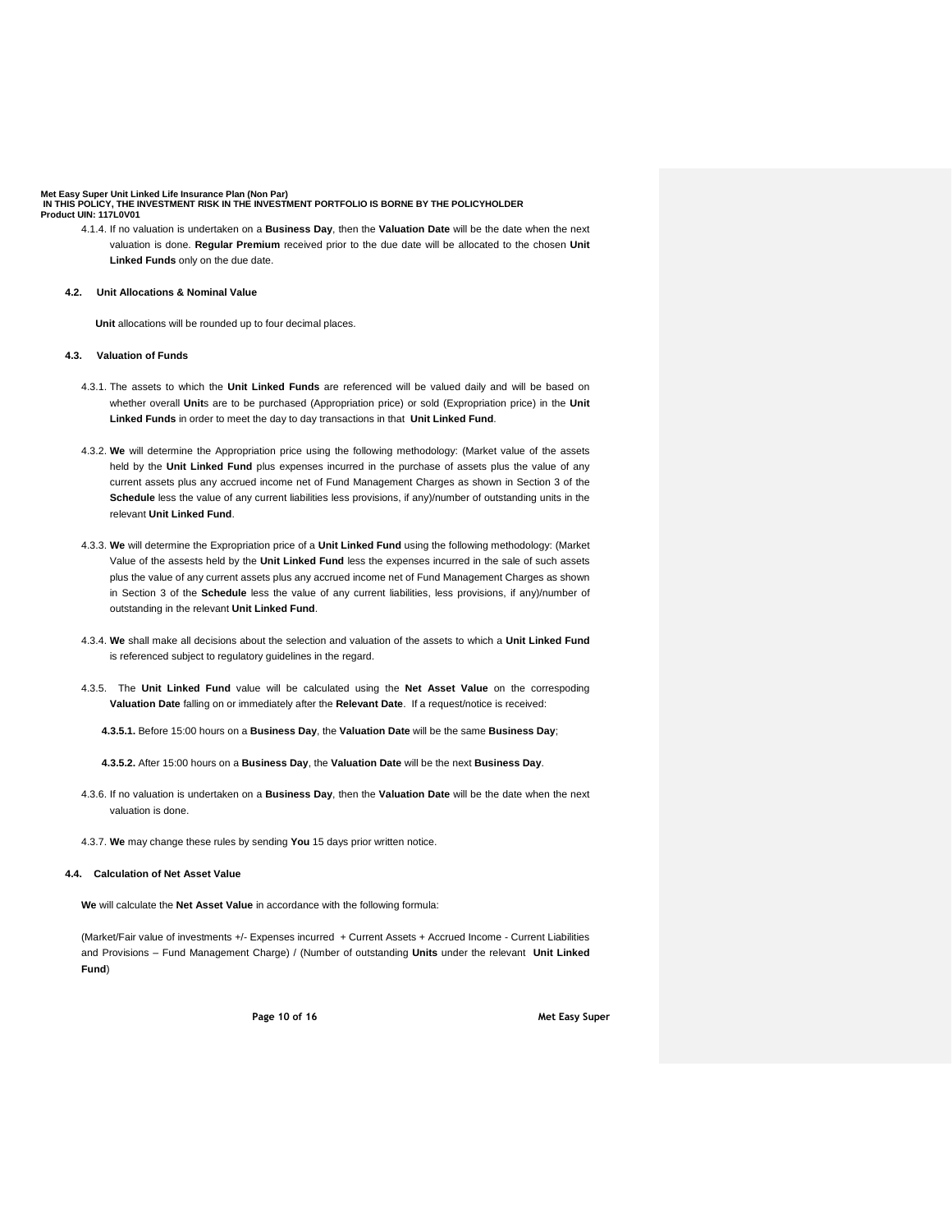4.1.4. If no valuation is undertaken on a **Business Day**, then the **Valuation Date** will be the date when the next valuation is done. **Regular Premium** received prior to the due date will be allocated to the chosen **Unit Linked Funds** only on the due date.

# **4.2. Unit Allocations & Nominal Value**

 **Unit** allocations will be rounded up to four decimal places.

#### **4.3. Valuation of Funds**

- 4.3.1. The assets to which the **Unit Linked Funds** are referenced will be valued daily and will be based on whether overall **Unit**s are to be purchased (Appropriation price) or sold (Expropriation price) in the **Unit Linked Funds** in order to meet the day to day transactions in that **Unit Linked Fund**.
- 4.3.2. **We** will determine the Appropriation price using the following methodology: (Market value of the assets held by the **Unit Linked Fund** plus expenses incurred in the purchase of assets plus the value of any current assets plus any accrued income net of Fund Management Charges as shown in Section 3 of the **Schedule** less the value of any current liabilities less provisions, if any)/number of outstanding units in the relevant **Unit Linked Fund**.
- 4.3.3. **We** will determine the Expropriation price of a **Unit Linked Fund** using the following methodology: (Market Value of the assests held by the **Unit Linked Fund** less the expenses incurred in the sale of such assets plus the value of any current assets plus any accrued income net of Fund Management Charges as shown in Section 3 of the **Schedule** less the value of any current liabilities, less provisions, if any)/number of outstanding in the relevant **Unit Linked Fund**.
- 4.3.4. **We** shall make all decisions about the selection and valuation of the assets to which a **Unit Linked Fund** is referenced subject to regulatory guidelines in the regard.
- 4.3.5. The **Unit Linked Fund** value will be calculated using the **Net Asset Value** on the correspoding **Valuation Date** falling on or immediately after the **Relevant Date**. If a request/notice is received:
	- **4.3.5.1.** Before 15:00 hours on a **Business Day**, the **Valuation Date** will be the same **Business Day**;
	- **4.3.5.2.** After 15:00 hours on a **Business Day**, the **Valuation Date** will be the next **Business Day**.
- 4.3.6. If no valuation is undertaken on a **Business Day**, then the **Valuation Date** will be the date when the next valuation is done.
- 4.3.7. **We** may change these rules by sending **You** 15 days prior written notice.

### **4.4. Calculation of Net Asset Value**

**We** will calculate the **Net Asset Value** in accordance with the following formula:

(Market/Fair value of investments +/- Expenses incurred + Current Assets + Accrued Income - Current Liabilities and Provisions – Fund Management Charge) / (Number of outstanding **Units** under the relevant **Unit Linked Fund**)

**Page 10 of 16 Met Easy Super**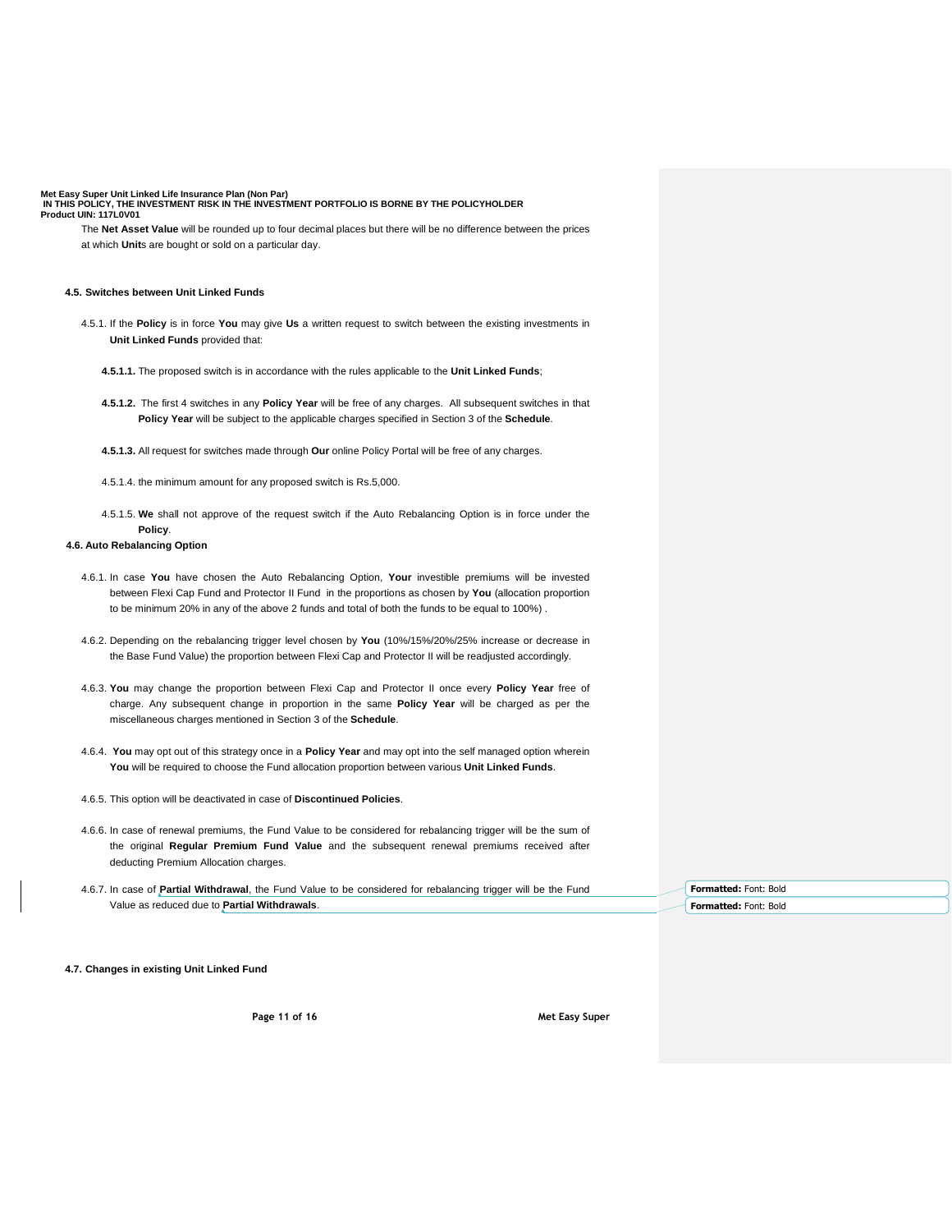The **Net Asset Value** will be rounded up to four decimal places but there will be no difference between the prices at which **Unit**s are bought or sold on a particular day.

### **4.5. Switches between Unit Linked Funds**

- 4.5.1. If the **Policy** is in force **You** may give **Us** a written request to switch between the existing investments in **Unit Linked Funds** provided that:
	- **4.5.1.1.** The proposed switch is in accordance with the rules applicable to the **Unit Linked Funds**;
	- **4.5.1.2.** The first 4 switches in any **Policy Year** will be free of any charges. All subsequent switches in that **Policy Year** will be subject to the applicable charges specified in Section 3 of the **Schedule**.
	- **4.5.1.3.** All request for switches made through **Our** online Policy Portal will be free of any charges.
	- 4.5.1.4. the minimum amount for any proposed switch is Rs.5,000.
	- 4.5.1.5. **We** shall not approve of the request switch if the Auto Rebalancing Option is in force under the **Policy**.

# **4.6. Auto Rebalancing Option**

- 4.6.1. In case **You** have chosen the Auto Rebalancing Option, **Your** investible premiums will be invested between Flexi Cap Fund and Protector II Fund in the proportions as chosen by **You** (allocation proportion to be minimum 20% in any of the above 2 funds and total of both the funds to be equal to 100%) .
- 4.6.2. Depending on the rebalancing trigger level chosen by **You** (10%/15%/20%/25% increase or decrease in the Base Fund Value) the proportion between Flexi Cap and Protector II will be readjusted accordingly.
- 4.6.3. **You** may change the proportion between Flexi Cap and Protector II once every **Policy Year** free of charge. Any subsequent change in proportion in the same **Policy Year** will be charged as per the miscellaneous charges mentioned in Section 3 of the **Schedule**.
- 4.6.4. **You** may opt out of this strategy once in a **Policy Year** and may opt into the self managed option wherein **You** will be required to choose the Fund allocation proportion between various **Unit Linked Funds**.
- 4.6.5. This option will be deactivated in case of **Discontinued Policies**.
- 4.6.6. In case of renewal premiums, the Fund Value to be considered for rebalancing trigger will be the sum of the original **Regular Premium Fund Value** and the subsequent renewal premiums received after deducting Premium Allocation charges.
- 4.6.7. In case of **Partial Withdrawal**, the Fund Value to be considered for rebalancing trigger will be the Fund Value as reduced due to **Partial Withdrawals**.

**Formatted:** Font: Bold **Formatted:** Font: Bold

**4.7. Changes in existing Unit Linked Fund**

**Page 11 of 16 Met Easy Super**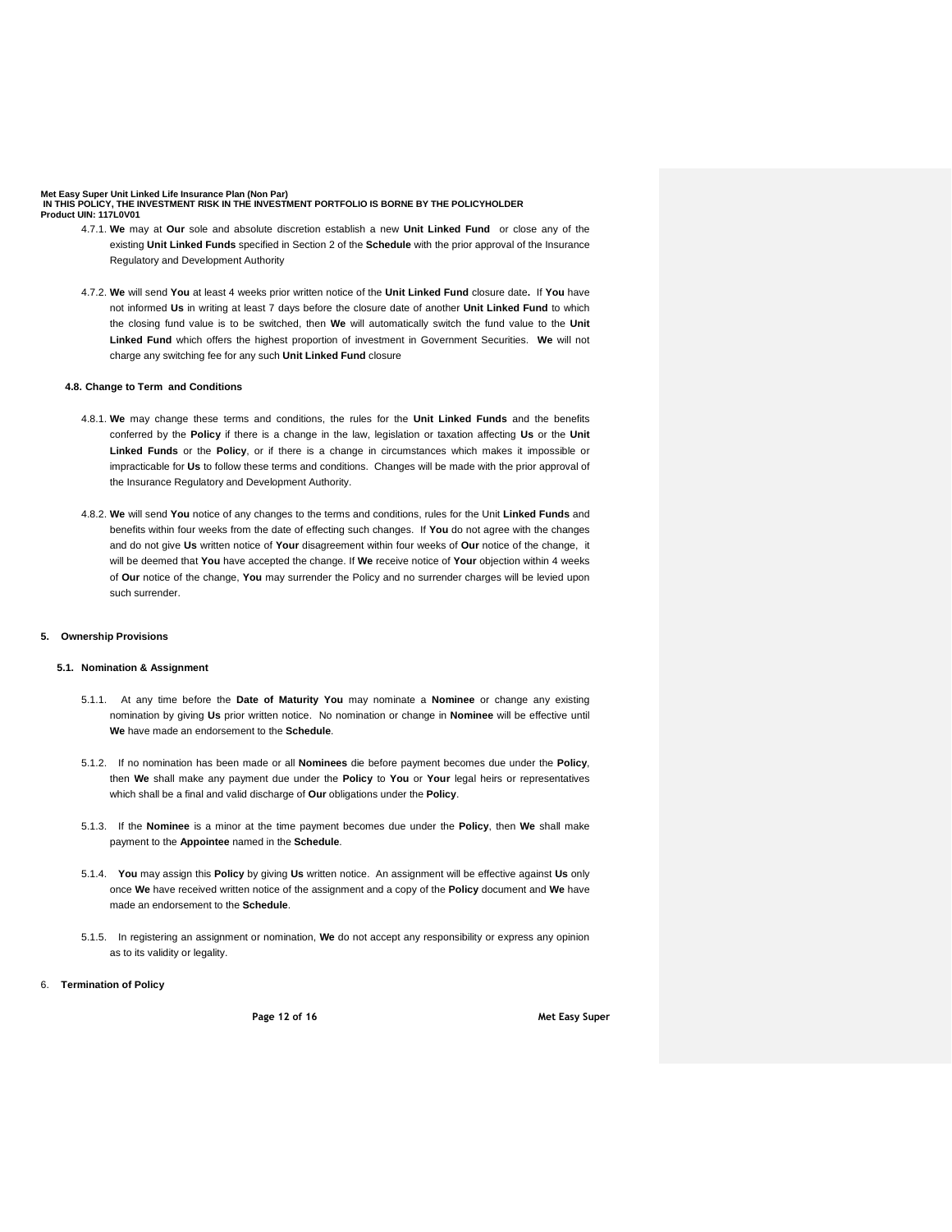- 4.7.1. **We** may at **Our** sole and absolute discretion establish a new **Unit Linked Fund** or close any of the existing **Unit Linked Funds** specified in Section 2 of the **Schedule** with the prior approval of the Insurance Regulatory and Development Authority
- 4.7.2. **We** will send **You** at least 4 weeks prior written notice of the **Unit Linked Fund** closure date**.** If **You** have not informed **Us** in writing at least 7 days before the closure date of another **Unit Linked Fund** to which the closing fund value is to be switched, then **We** will automatically switch the fund value to the **Unit Linked Fund** which offers the highest proportion of investment in Government Securities. **We** will not charge any switching fee for any such **Unit Linked Fund** closure

# **4.8. Change to Term and Conditions**

- 4.8.1. **We** may change these terms and conditions, the rules for the **Unit Linked Funds** and the benefits conferred by the **Policy** if there is a change in the law, legislation or taxation affecting **Us** or the **Unit Linked Funds** or the **Policy**, or if there is a change in circumstances which makes it impossible or impracticable for **Us** to follow these terms and conditions. Changes will be made with the prior approval of the Insurance Regulatory and Development Authority.
- 4.8.2. **We** will send **You** notice of any changes to the terms and conditions, rules for the Unit **Linked Funds** and benefits within four weeks from the date of effecting such changes. If **You** do not agree with the changes and do not give **Us** written notice of **Your** disagreement within four weeks of **Our** notice of the change, it will be deemed that **You** have accepted the change. If **We** receive notice of **Your** objection within 4 weeks of **Our** notice of the change, **You** may surrender the Policy and no surrender charges will be levied upon such surrender.

# **5. Ownership Provisions**

## **5.1. Nomination & Assignment**

- 5.1.1. At any time before the **Date of Maturity You** may nominate a **Nominee** or change any existing nomination by giving **Us** prior written notice. No nomination or change in **Nominee** will be effective until **We** have made an endorsement to the **Schedule**.
- 5.1.2. If no nomination has been made or all **Nominees** die before payment becomes due under the **Policy**, then **We** shall make any payment due under the **Policy** to **You** or **Your** legal heirs or representatives which shall be a final and valid discharge of **Our** obligations under the **Policy**.
- 5.1.3. If the **Nominee** is a minor at the time payment becomes due under the **Policy**, then **We** shall make payment to the **Appointee** named in the **Schedule**.
- 5.1.4. **You** may assign this **Policy** by giving **Us** written notice. An assignment will be effective against **Us** only once **We** have received written notice of the assignment and a copy of the **Policy** document and **We** have made an endorsement to the **Schedule**.
- 5.1.5. In registering an assignment or nomination, **We** do not accept any responsibility or express any opinion as to its validity or legality.

### 6. **Termination of Policy**

**Page 12 of 16 Met Easy Super**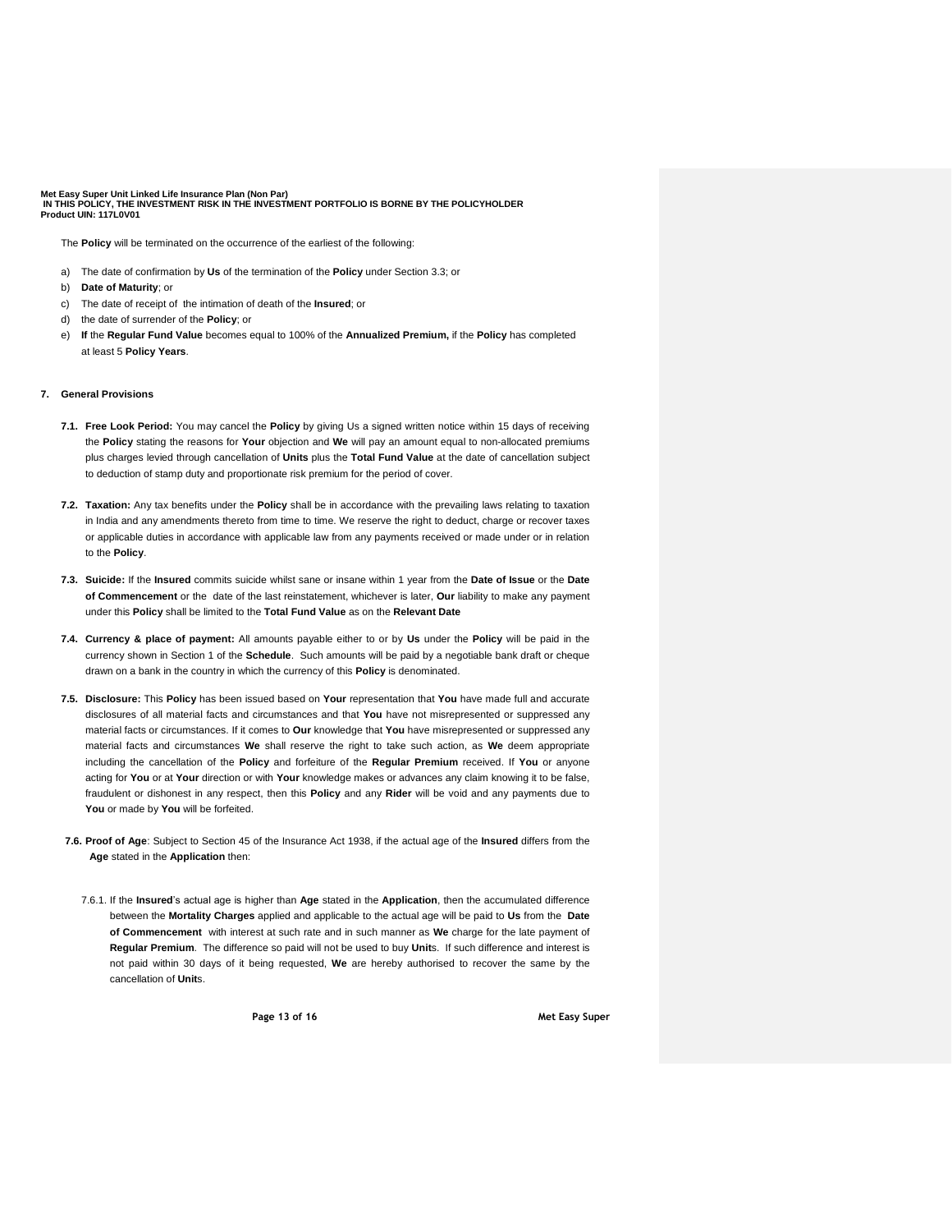The **Policy** will be terminated on the occurrence of the earliest of the following:

- a) The date of confirmation by **Us** of the termination of the **Policy** under Section 3.3; or
- b) **Date of Maturity**; or
- c) The date of receipt of the intimation of death of the **Insured**; or
- d) the date of surrender of the **Policy**; or
- e) **If** the **Regular Fund Value** becomes equal to 100% of the **Annualized Premium,** if the **Policy** has completed at least 5 **Policy Years**.

## **7. General Provisions**

- **7.1. Free Look Period:** You may cancel the **Policy** by giving Us a signed written notice within 15 days of receiving the **Policy** stating the reasons for **Your** objection and **We** will pay an amount equal to non-allocated premiums plus charges levied through cancellation of **Units** plus the **Total Fund Value** at the date of cancellation subject to deduction of stamp duty and proportionate risk premium for the period of cover.
- **7.2. Taxation:** Any tax benefits under the **Policy** shall be in accordance with the prevailing laws relating to taxation in India and any amendments thereto from time to time. We reserve the right to deduct, charge or recover taxes or applicable duties in accordance with applicable law from any payments received or made under or in relation to the **Policy**.
- **7.3. Suicide:** If the **Insured** commits suicide whilst sane or insane within 1 year from the **Date of Issue** or the **Date of Commencement** or the date of the last reinstatement, whichever is later, **Our** liability to make any payment under this **Policy** shall be limited to the **Total Fund Value** as on the **Relevant Date**
- **7.4. Currency & place of payment:** All amounts payable either to or by **Us** under the **Policy** will be paid in the currency shown in Section 1 of the **Schedule**. Such amounts will be paid by a negotiable bank draft or cheque drawn on a bank in the country in which the currency of this **Policy** is denominated.
- **7.5. Disclosure:** This **Policy** has been issued based on **Your** representation that **You** have made full and accurate disclosures of all material facts and circumstances and that **You** have not misrepresented or suppressed any material facts or circumstances. If it comes to **Our** knowledge that **You** have misrepresented or suppressed any material facts and circumstances **We** shall reserve the right to take such action, as **We** deem appropriate including the cancellation of the **Policy** and forfeiture of the **Regular Premium** received. If **You** or anyone acting for **You** or at **Your** direction or with **Your** knowledge makes or advances any claim knowing it to be false, fraudulent or dishonest in any respect, then this **Policy** and any **Rider** will be void and any payments due to **You** or made by **You** will be forfeited.
- **7.6. Proof of Age**: Subject to Section 45 of the Insurance Act 1938, if the actual age of the **Insured** differs from the **Age** stated in the **Application** then:
	- 7.6.1. If the **Insured**'s actual age is higher than **Age** stated in the **Application**, then the accumulated difference between the **Mortality Charges** applied and applicable to the actual age will be paid to **Us** from the **Date of Commencement** with interest at such rate and in such manner as **We** charge for the late payment of **Regular Premium**. The difference so paid will not be used to buy **Unit**s. If such difference and interest is not paid within 30 days of it being requested, **We** are hereby authorised to recover the same by the cancellation of **Unit**s.

**Page 13 of 16 Met Easy Super**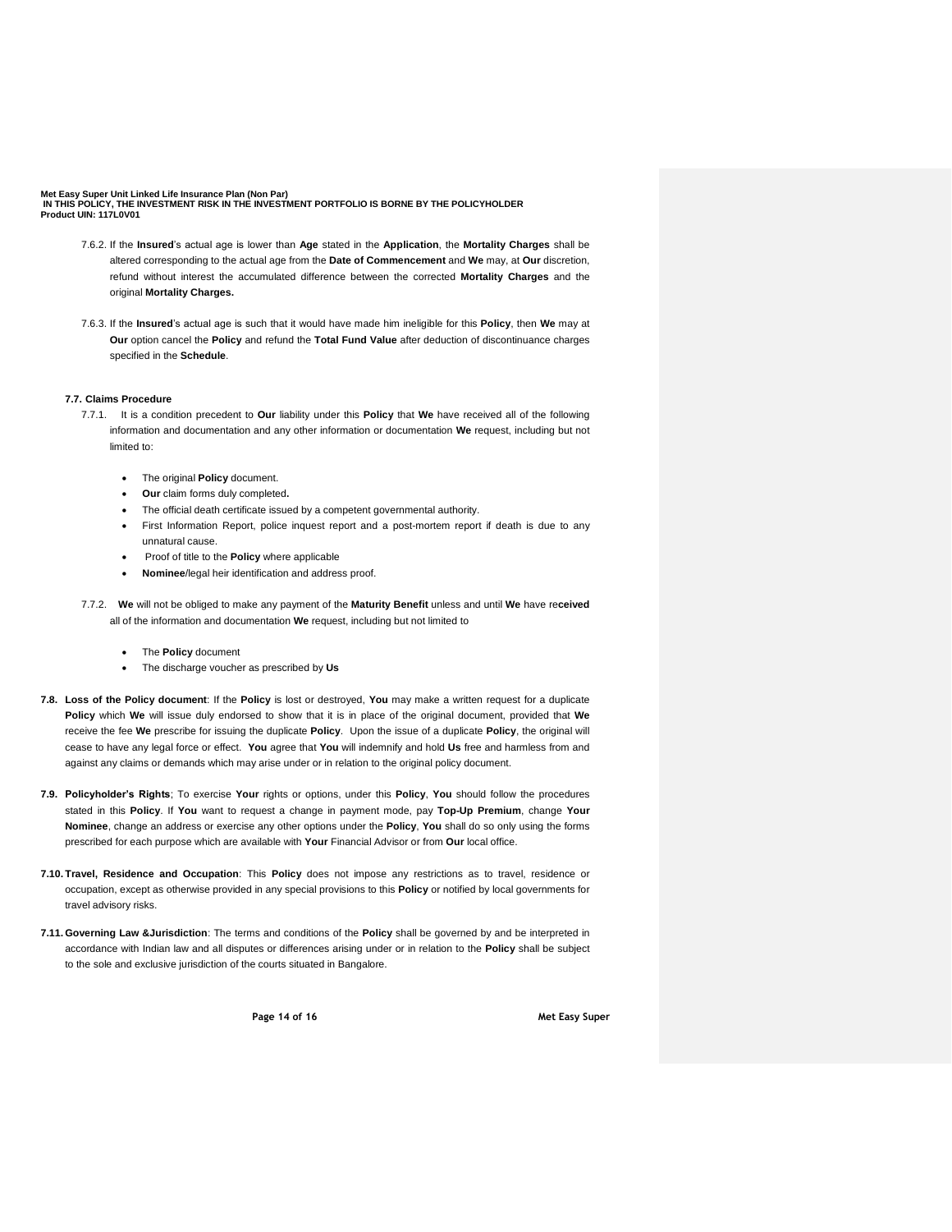- 7.6.2. If the **Insured**'s actual age is lower than **Age** stated in the **Application**, the **Mortality Charges** shall be altered corresponding to the actual age from the **Date of Commencement** and **We** may, at **Our** discretion, refund without interest the accumulated difference between the corrected **Mortality Charges** and the original **Mortality Charges.**
- 7.6.3. If the **Insured**'s actual age is such that it would have made him ineligible for this **Policy**, then **We** may at **Our** option cancel the **Policy** and refund the **Total Fund Value** after deduction of discontinuance charges specified in the **Schedule**.

#### **7.7. Claims Procedure**

- 7.7.1.It is a condition precedent to **Our** liability under this **Policy** that **We** have received all of the following information and documentation and any other information or documentation **We** request, including but not limited to:
	- The original **Policy** document.
	- **Our** claim forms duly completed**.**
	- The official death certificate issued by a competent governmental authority.
	- First Information Report, police inquest report and a post-mortem report if death is due to any unnatural cause.
	- Proof of title to the **Policy** where applicable
	- **Nominee**/legal heir identification and address proof.
- 7.7.2. **We** will not be obliged to make any payment of the **Maturity Benefit** unless and until **We** have re**ceived** all of the information and documentation **We** request, including but not limited to
	- The **Policy** document
	- The discharge voucher as prescribed by **Us**

**7.8. Loss of the Policy document**: If the **Policy** is lost or destroyed, **You** may make a written request for a duplicate **Policy** which **We** will issue duly endorsed to show that it is in place of the original document, provided that **We** receive the fee **We** prescribe for issuing the duplicate **Policy**. Upon the issue of a duplicate **Policy**, the original will cease to have any legal force or effect. **You** agree that **You** will indemnify and hold **Us** free and harmless from and against any claims or demands which may arise under or in relation to the original policy document.

- **7.9. Policyholder's Rights**; To exercise **Your** rights or options, under this **Policy**, **You** should follow the procedures stated in this **Policy**. If **You** want to request a change in payment mode, pay **Top-Up Premium**, change **Your Nominee**, change an address or exercise any other options under the **Policy**, **You** shall do so only using the forms prescribed for each purpose which are available with **Your** Financial Advisor or from **Our** local office.
- **7.10. Travel, Residence and Occupation**: This **Policy** does not impose any restrictions as to travel, residence or occupation, except as otherwise provided in any special provisions to this **Policy** or notified by local governments for travel advisory risks.
- **7.11. Governing Law &Jurisdiction**: The terms and conditions of the **Policy** shall be governed by and be interpreted in accordance with Indian law and all disputes or differences arising under or in relation to the **Policy** shall be subject to the sole and exclusive jurisdiction of the courts situated in Bangalore.

**Page 14 of 16 Met Easy Super**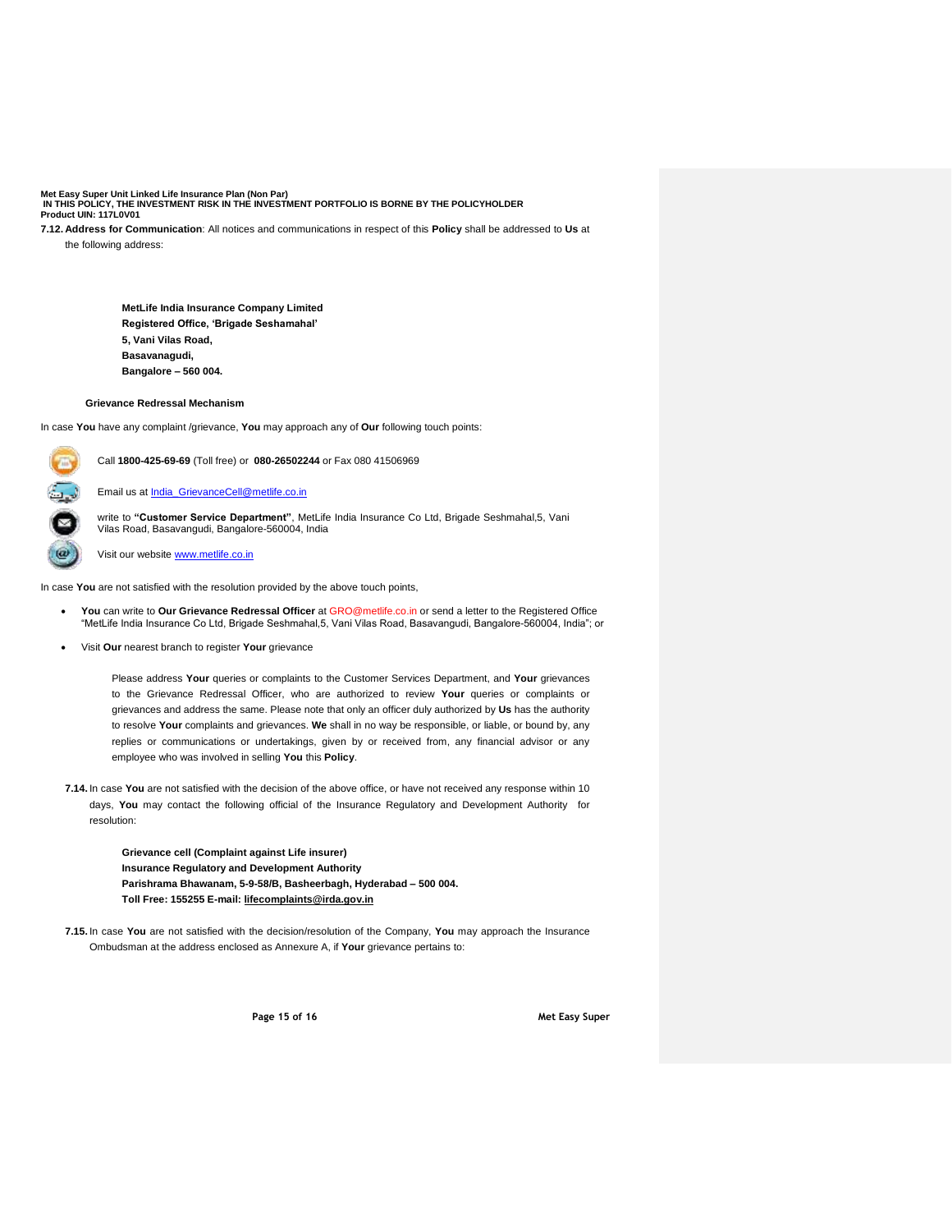**7.12. Address for Communication**: All notices and communications in respect of this **Policy** shall be addressed to **Us** at the following address:

> **MetLife India Insurance Company Limited Registered Office, 'Brigade Seshamahal' 5, Vani Vilas Road, Basavanagudi, Bangalore – 560 004.**

# **7.13. Grievance Redressal Mechanism**

In case **You** have any complaint /grievance, **You** may approach any of **Our** following touch points:

Call **1800-425-69-69** (Toll free) or **080-26502244** or Fax 080 41506969

Email us at **India\_GrievanceCell@metlife.co.in** 

write to **"Customer Service Department"**, MetLife India Insurance Co Ltd, Brigade Seshmahal,5, Vani Vilas Road, Basavangudi, Bangalore-560004, India

Visit our website [www.metlife.co.in](http://www.metlife.co.in/)

C  $\ddot{=}$ 

In case **You** are not satisfied with the resolution provided by the above touch points,

- **You** can write to **Our Grievance Redressal Officer** at GRO@metlife.co.in or send a letter to the Registered Office "MetLife India Insurance Co Ltd, Brigade Seshmahal,5, Vani Vilas Road, Basavangudi, Bangalore-560004, India"; or
- Visit **Our** nearest branch to register **Your** grievance

Please address **Your** queries or complaints to the Customer Services Department, and **Your** grievances to the Grievance Redressal Officer, who are authorized to review **Your** queries or complaints or grievances and address the same. Please note that only an officer duly authorized by **Us** has the authority to resolve **Your** complaints and grievances. **We** shall in no way be responsible, or liable, or bound by, any replies or communications or undertakings, given by or received from, any financial advisor or any employee who was involved in selling **You** this **Policy**.

**7.14.** In case **You** are not satisfied with the decision of the above office, or have not received any response within 10 days, **You** may contact the following official of the Insurance Regulatory and Development Authority for resolution:

> **Grievance cell (Complaint against Life insurer) Insurance Regulatory and Development Authority Parishrama Bhawanam, 5-9-58/B, Basheerbagh, Hyderabad – 500 004. Toll Free: 155255 E-mail[: lifecomplaints@irda.gov.in](mailto:lifecomplaints@irda.gov.in)**

**7.15.** In case **You** are not satisfied with the decision/resolution of the Company, **You** may approach the Insurance Ombudsman at the address enclosed as Annexure A, if **Your** grievance pertains to:

**Page 15 of 16 Met Easy Super**